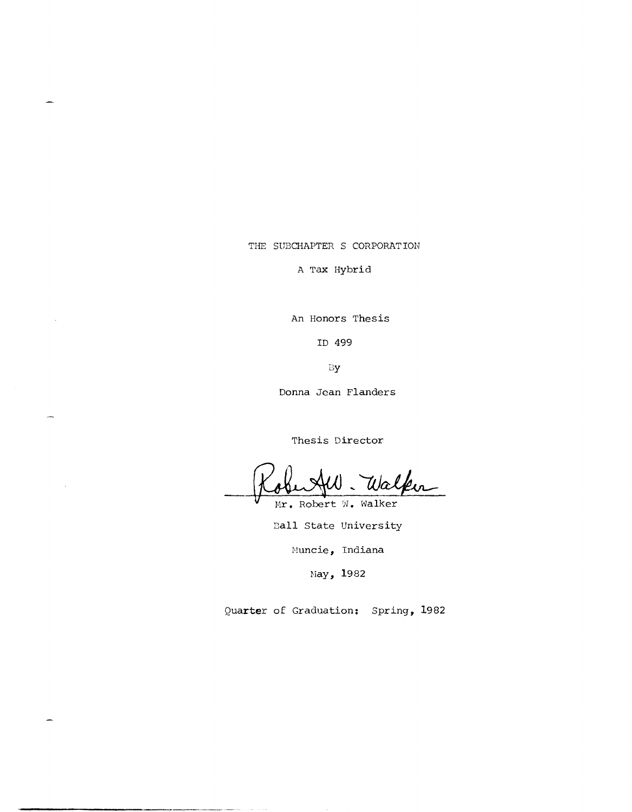THE SUBCHAPTER S CORPORATION

 $\overline{a}$ 

A Tax Hybrid

An Honors Thesis

ID 499

By

Donna Jean Flanders

Thesis Director

Walker

Mr. Robert W. Walker Ball State University

Muncie, Indiana

May, 1982

Quarter of Graduation: Spring, 1982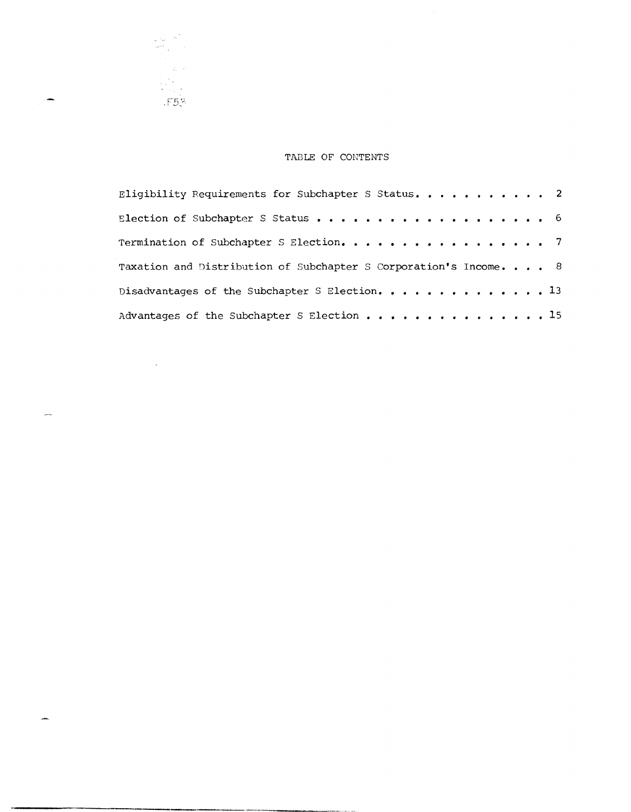# TABLE OF CONTENTS

.F5?

 $\sim 10^{11}$ 

÷

 $\overline{\phantom{a}}$ 

للعبر

 $\begin{aligned} \mathcal{L}^{(1)}_{\text{max}} & = \mathcal{N} \left( \begin{smallmatrix} 1 \\ 1 \\ 1 \\ 1 \end{smallmatrix} \right) \end{aligned}$ 

--------------------------------.

| Eligibility Requirements for Subchapter S Status. 2               |  |  |
|-------------------------------------------------------------------|--|--|
|                                                                   |  |  |
| Termination of Subchapter S Election. 7                           |  |  |
| Taxation and Distribution of Subchapter S Corporation's Income. 8 |  |  |
| Disadvantages of the Subchapter S Election. 13                    |  |  |
| Advantages of the Subchapter S Election 15                        |  |  |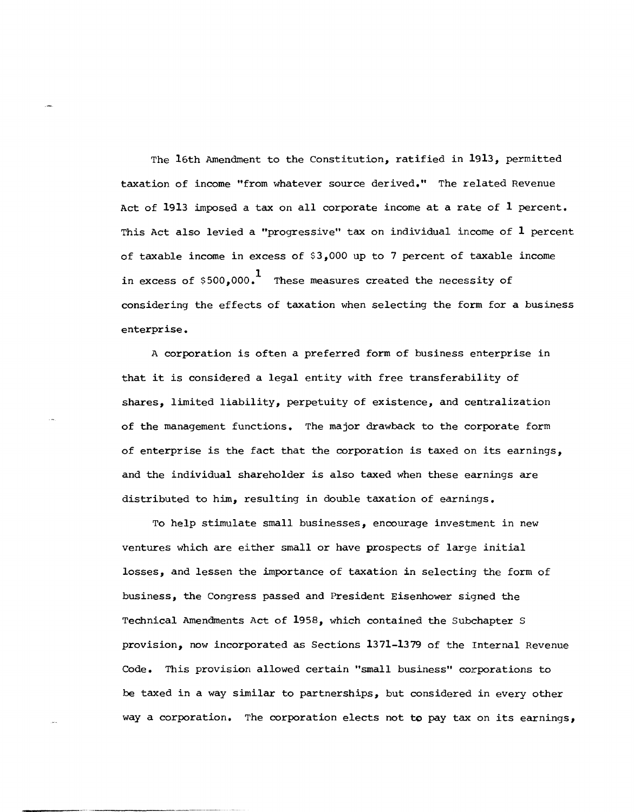The 16th Amendment to the Constitution, ratified in 1913, permitted taxation of income "from whatever source derived." The related Revenue Act of 1913 imposed a tax on all corporate income at a rate of 1 percent. This Act also levied a "progressive" tax on individual income of 1 percent of taxable income in excess of \$3,000 up to 7 percent of taxable income in excess of  $$500,000$ .<sup>1</sup> These measures created the necessity of considering the effects of taxation when selecting the form for a business enterprise.

A corporation is often a preferred form of business enterprise in that it is considered a legal entity with free transferability of shares, limited liability, perpetuity of existence, and centralization of the management functions. The major drawback to the corporate form of enterprise is the fact that the corporation is taxed on its earnings, and the individual shareholder is also taxed when these earnings are distributed to him, resulting in double taxation of earnings.

To help stimulate small businesses, encourage investment in new ventures which are either small or have prospects of large initial losses, and lessen the importance of taxation in selecting the form of business, the Congress passed and President Eisenhower siqned the Technical Amendments Act of 1958, which contained the Subchapter S provision, now incorporated as Sections 1371-1379 of the Internal Revenue Code. This provision allowed certain "small business" corporations to be taxed in a way similar to partnerships, but considered in every other way a corporation. The corporation elects not to pay tax on its earnings,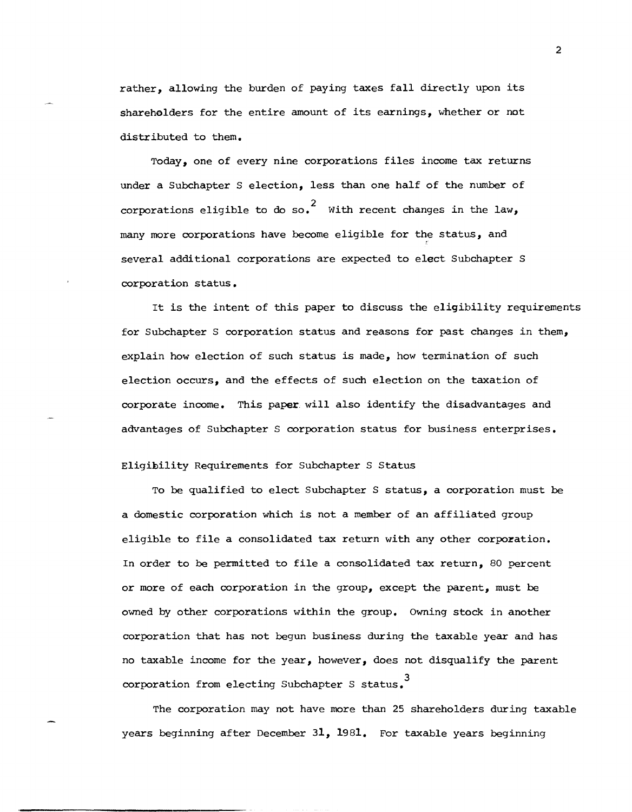rather, allowing the burden of paying taxes fall directly upon its shareholders for the entire amount of its earnings, whether or not distributed to them.

Today, one of every nine corporations files income tax returns under a Subchapter S election, less than one half of the number of corporations eligible to do so.<sup>2</sup> With recent changes in the law, many more corporations have become eligible for the status, and several additional corporations are expected to elect Subchapter S corporation status.

It is the intent of this paper to discuss the eligibility requirements for Subchapter S corporation status and reasons for past changes in them, explain how election of such status is made, how termination of such election occurs, and the effects of such election on the taxation of corporate income. This paper will also identify the disadvantages and advantages of Subchapter S corporation status for business enterprises.

## Eligibility Requirements for Subchapter S Status

To be qualified to elect Subchapter S status, a corporation must be a domestic corporation which is not a member of an affiliated group eligible to file a consolidated tax return with any other corporation. In order to be permitted to file a consolidated tax return, 80 percent or more of each corporation in the group, except the parent, must be owned by other corporations within the group. Owning stock in another corporation that has not begun business during the taxable year and has no taxable income for the year, however, does not disqualify the parent corporation from electing Subchapter S status.<sup>3</sup>

The corporation may not have more than 25 shareholders during taxable years beginning after December 31, 1981. For taxable years beginning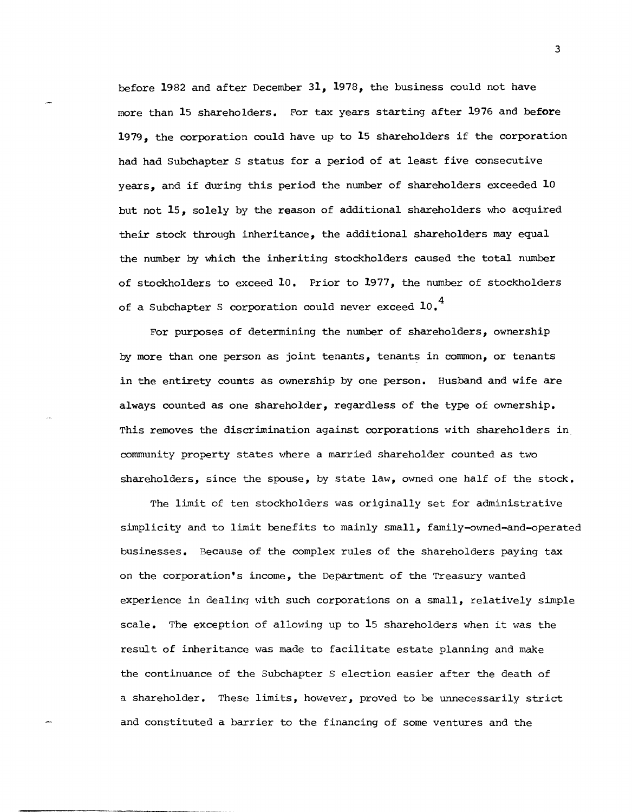before 1982 and after December 31, 1978, the business could not have more than 15 shareholders. For tax years starting after 1976 and before 1979, the corporation could have up to 15 shareholders if the corporation had had Subchapter S status for a period of at least five consecutive years, and if during this period the number of shareholders exceeded 10 but not 15, solely by the reason of additional shareholders who acquired their stock through inheritance, the additional shareholders may equal the number by which the inheriting stockholders caused the total number of stockholders to exceed 10. Prior to 1977, the number of stockholders of a Subchapter S corporation could never exceed  $10<sup>4</sup>$ 

For purposes of determining the number of shareholders, ownership by more than one person as joint tenants, tenants in common, or tenants in the entirety counts as ownership by one person. Husband and wife are always counted as one shareholder, regardless of the type of ownership. This removes the discrimination against corporations with shareholders in community property states where a married shareholder counted as two shareholders, since the spouse, by state law, ovmed one half of the stock.

The limit of ten stockholders was originally set for administrative simplicity and to limit benefits to mainly small, family-owned-and-operated businesses. Because of the complex rules of the shareholders paying tax on the corporation's income, the Department of the Treasury wanted experience in dealing with such corporations on a small, relatively simple scale. The exception of allowing up to 15 shareholders when it was the result of inheritance was made to facilitate estate planning and make the continuance of the Subchapter S election easier after the death of a shareholder. These limits, however, proved to be unnecessarily strict and constituted a barrier to the financing of some ventures and the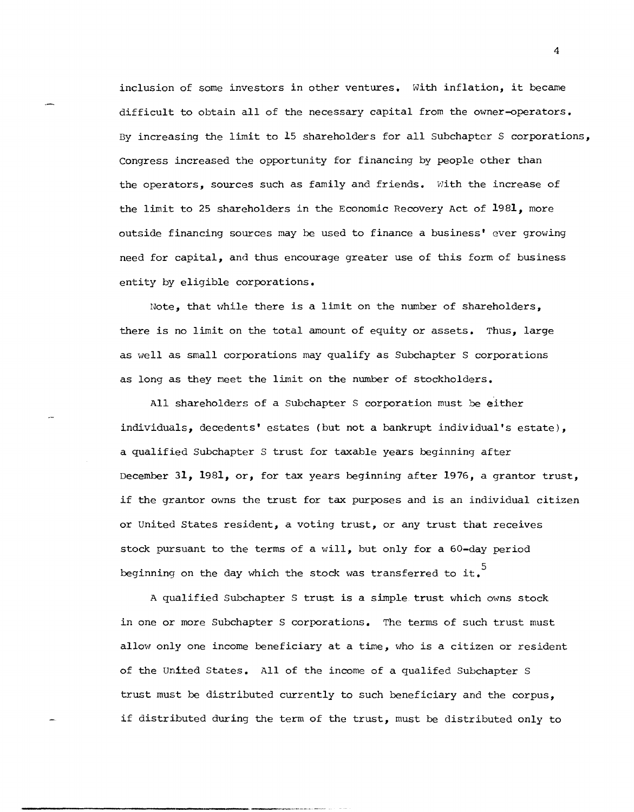inclusion of some investors in other ventures. With inflation, it became difficult to obtain all of the necessary capital from the owner-operators. By increasing the limit to 15 shareholders for all Subchapter S corporations, Congress increased the opportunity for financing by people other than the operators, sources such as family and friends. With the increase of the limit to 25 shareholders in the Economic Recovery Act of 1981, more outside financing sources may be used to finance a business' ever growing need for capital, and thus encourage greater use of this form of business entity by eligible corporations.

Note, that while there is a limit on the number of shareholders, there is no limit on the total amount of equity or assets. Thus, large as well as small corporations may qualify as Subchapter S corporations as long as they meet the limit on the number of stockholders.

All shareholders of a Subchapter S corporation must be either individuals, decedents' estates (but not a bankrupt individual's estate), a qualified Subchapter S trust for taxable years beginninq after December 31, 1981, or, for tax years beginning after 1976, a grantor trust, if the grantor owns the trust for tax purposes and is an individual citizen or united States resident, a voting trust, or any trust that receives stock pursuant to the terms of a will, but only for a 60-day period beginning on the day which the stock was transferred to it.

A qualified Subchapter S trust is a simple trust which owns stock in one or more Subchapter S corporations. The terms of such trust must allow only one income beneficiary at a time, who is a citizen or resident of the united States. All of the income of a qualifed Subchapter S trust must be distributed currently to such beneficiary and the corpus, if distributed during the term of the trust, must be distributed only to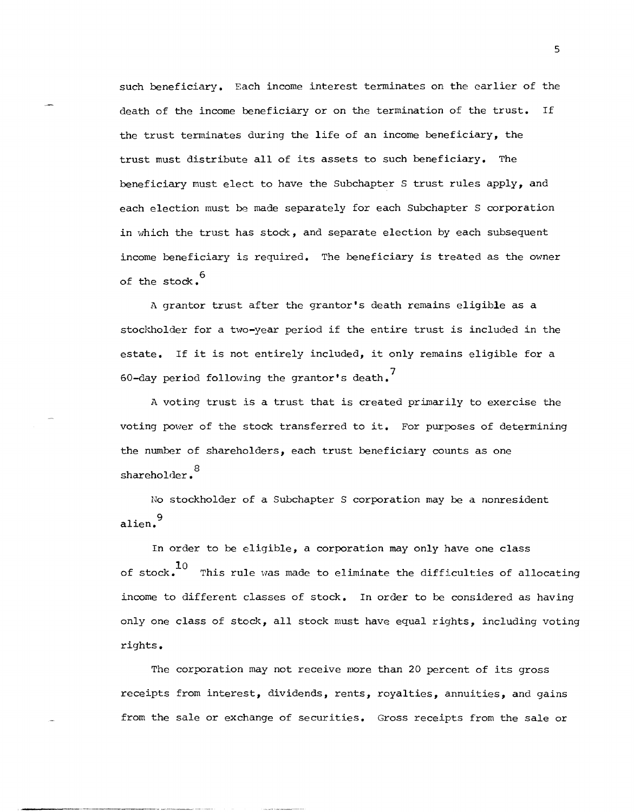such beneficiary. Each income interest terminates on the earlier of the death of the income beneficiary or on the termination of the trust. If the trust terminates during the life of an income beneficiary, the trust must distribute all of its assets to such beneficiary. The beneficiary must elect to have the Subchapter S trust rules apply, and each election must be made separately for each Subchapter S corporation in which the trust has stock, and separate election by each subsequent income beneficiary is required. The beneficiary is treated as the owner of the stock.<sup>6</sup>

A grantor trust after the grantor's death remains eligible as a stockholder for a two-year period if the entire trust is included in the estate. If it is not entirely included, it only remains eligible for a 60-day period following the grantor's death.

A voting trust is a trust that is created primarily to exercise the voting power of the stock transferred to it. For purposes of determining the number of shareholders, each trust beneficiary counts as one shareholder.<sup>8</sup>

No stockholder of a Subchapter S corporation may be a nonresident alien.<sup>9</sup>

In order to be eligible, a corporation may only have one class of stock.<sup>10</sup> This rule was made to eliminate the difficulties of allocating income to different classes of stock. In order to be considered as having only one class of stock, all stock must have equal rights, including voting rights.

The corporation may not receive more than 20 percent of its gross receipts from interest, dividends, rents, royalties, annulties, and gains from the sale or exchange of securities. Gross receipts from the sale or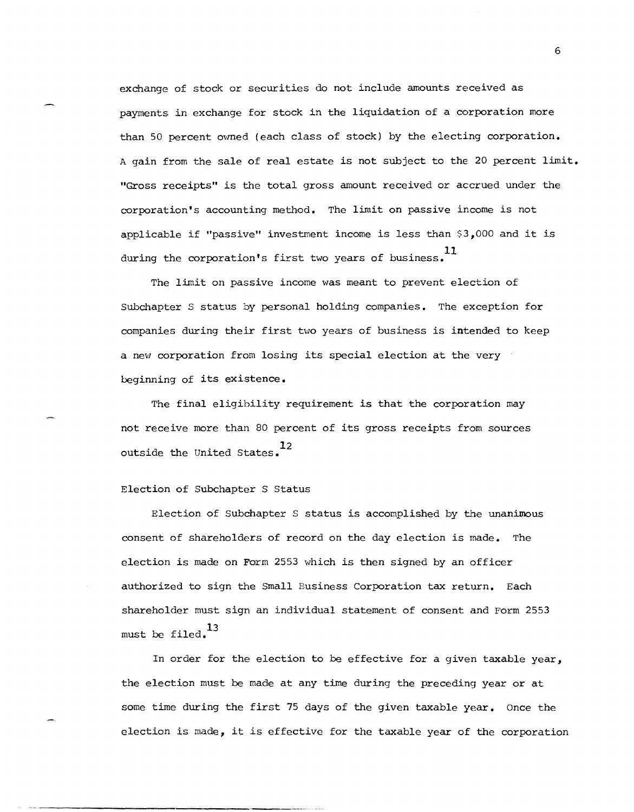exchange of stock or securities do not include amounts received as payments in exchange for stock in the liquidation of a corporation more than 50 percent owned (each class of stock) by the electing corporation. A gain from the sale of real estate is not subject to the 20 percent limit. "Gross receipts" is the total gross amount received or accrued under the corporation's accounting method. The limit on passive income is not applicable if "passive" investment income is less than \$3,000 and it is during the corporation's first two years of business.<sup>11</sup>

The limit on passive income was meant to prevent election of Subchapter S status by personal holding companies. The exception for companies during their first two years of business is intended to keep a new corporation from losing its special election at the very beginning of its existence.

The final eligibility requirement is that the corporation may not receive more than 80 percent of its gross receipts from sources outside the United States.<sup>12</sup>

## Election of Subchapter S Status

Election of Subchapter S status is accomplished by the unanimous consent of shareholders of record on the day election is made. The election is made on Form 2553 which is then signed by an officer authorized to sign the Small Business Corporation tax return. Each shareholder must sign an individual statement of consent and Form 2553 must be filed.<sup>13</sup>

In order for the election to be effective for a given taxable year, the election must be made at any time during the preceding year or at some time during the first 75 days of the given taxable year. Once the election is made, it is effective for the taxable year of the corporation

---\_.\_-----\_. \_.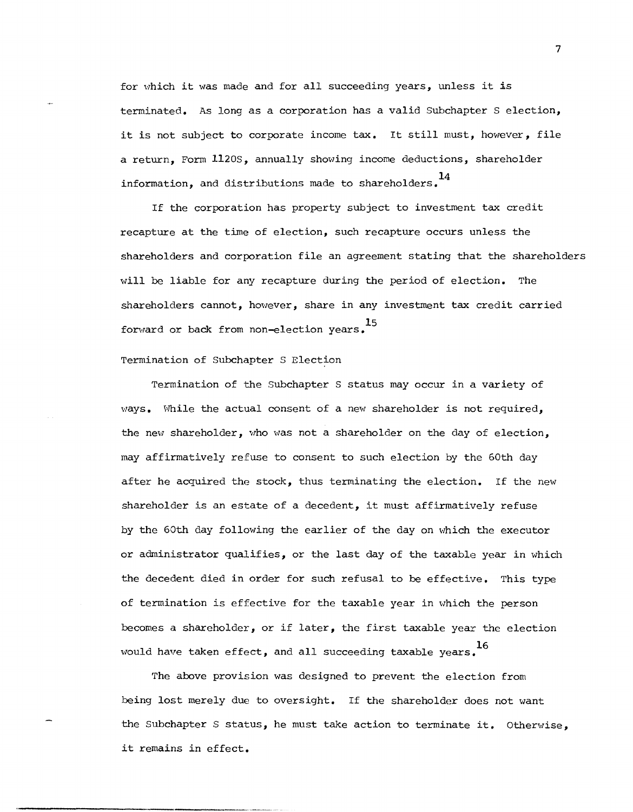for which it was made and for all succeeding years, unless it is terminated. As long as a corporation has a valid Subchapter S election, it is not subject to corporate income tax. It still must, however, file a return, Form 1120S, annually showing income deductions, shareholder information, and distributions made to shareholders.  $^{14}$ 

If the corporation has property subject to investment tax credit recapture at the time of election, such recapture occurs unless the shareholders and corporation file an agreement stating that the shareholders will be liable for any recapture during the period of election. The shareholders cannot, however, share in any investment tax credit carried forward or back from non-election years.<sup>15</sup>

## Termination of Subchapter S Election

Termination of the Subchapter S status may occur in a variety of ways. While the actual consent of a new shareholder is not required, the new shareholder, who was not a shareholder on the day of election, may affirmatively refuse to consent to such election by the 60th day after he acquired the stock, thus terminating the election. If the new shareholder is an estate of a decedent, it must affirmatively refuse by the 60th day following the earlier of the day on which the executor or administrator qualifies, or the last day of the taxable year in which the decedent died in order for such refusal to be effective. This type of termination is effective for the taxable year in which the person becomes a shareholder, or if later, the first taxable year the election would have taken effect, and all succeeding taxable years.<sup>16</sup>

The above provision was designed to prevent the election from being lost merely due to OVersight. If the shareholder does not want the Subchapter S status, he must take action to terminate it. Otherwise, it remains in effect.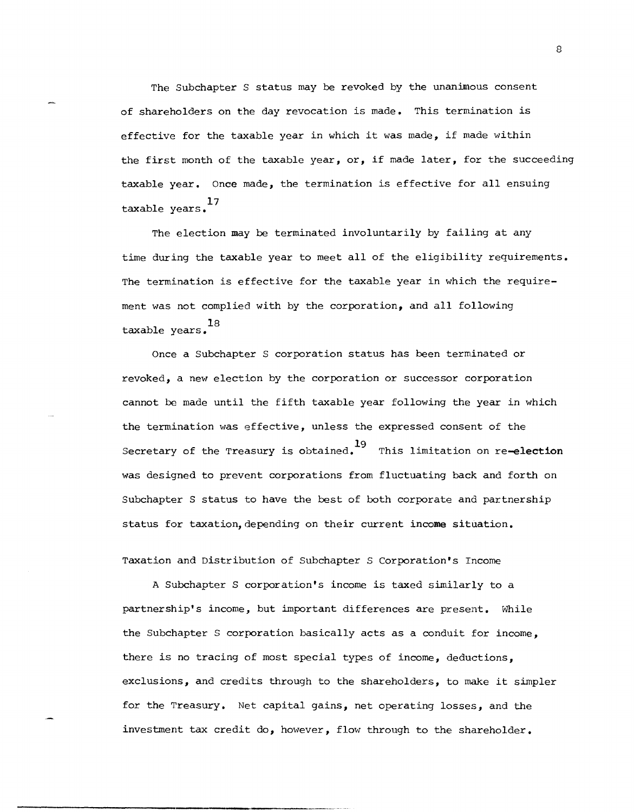The Subchapter S status may be revoked by the unanimous consent of shareholders on the day revocation is made. This termination is effective for the taxable year in which it was made, if made within the first month of the taxable year, or, if made later, for the succeeding taxable year. Once made, the termination is effective for all ensuing 17 taxable years.

The election may be terminated involuntarily by failing at any time during the taxable year to meet all of the eligibility requirements. The termination is effective for the taxable year in which the requirement was not complied with by the corporation, and all following 18 taxable years.

Once a Subchapter S corporation status has been terminated or revoked, a new election by the corporation or successor corporation cannot be made until the fifth taxable year following the year in which the termination was effective, unless the expressed consent of the Secretary of the Treasury is obtained.<sup>19</sup> This limitation on re-election was designed to prevent corporations from fluctuating back and forth on Subchapter S status to have the best of both corporate and partnership status for taxation,depending on their current income situation.

Taxation and Distribution of Subchapter S Corporation's Income

A Subchapter S corporation's income is taxed similarly to a partnership's income, but important differences are present. While the Subchapter S corporation basically acts as a conduit for income, there is no tracing of most special types of income, deductions, exclusions, and credits through to the shareholders, to make it simpler for the Treasury. Net capital gains, net operating losses, and the investment tax credit do, however, flow through to the shareholder.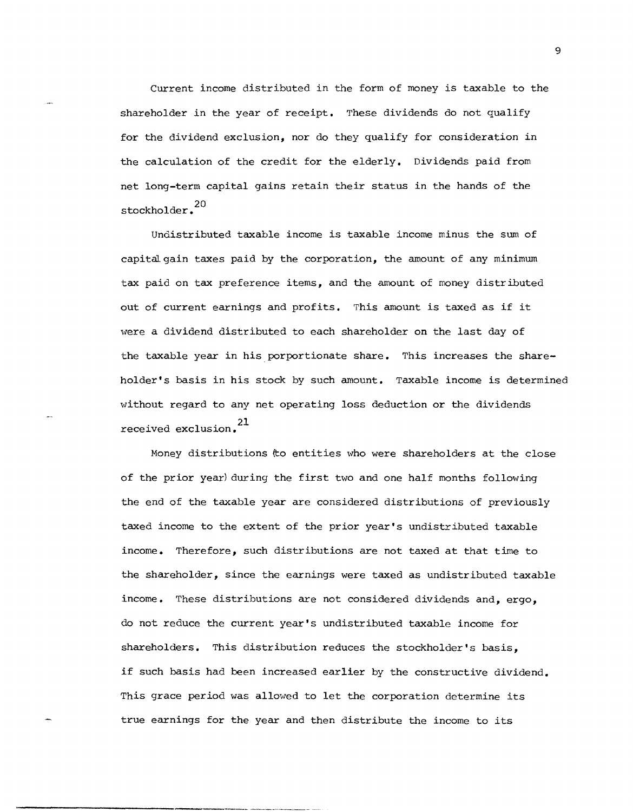Current income distributed in the form of money is taxable to the shareholder in the year of receipt. These dividends do not qualify for the dividend exclusion, nor do they qualify for consideration in the calculation of the credit for the elderly. Dividends paid from net long-term capital gains retain their status in the hands of the stockholder.<sup>20</sup>

Undistributed taxable income is taxable income minus the sum of capital gain taxes paid by the corporation, the amount of any minimum tax paid on tax preference items, and the amount of money distributed out of current earnings and profits. This amount is taxed as if it were a dividend distributed to each shareholder on the last day of the taxable year in his porportionate share. This increases the shareholder's basis in his stock by such amount. Taxable income is determined without regard to any net operating loss deduction or the dividends received exclusion.<sup>21</sup>

Money distributions (to entities who were shareholders at the close of the prior year) during the first two and one half months following the end of the taxable year are considered distributions of previously taxed income to the extent of the prior year's undistributed taxable income. Therefore, such distributions are not taxed at that time to the shareholder, since the earnings were taxed as undistributed taxable income. These distributions are not considered dividends and, ergo, do not reduce the current year's undistributed taxable income for shareholders. This distribution reduces the stockholder's basis, if such basis had been increased earlier by the constructive dividend. This grace period was allowed to let the corporation determine its true earnings for the year and then distribute the income to its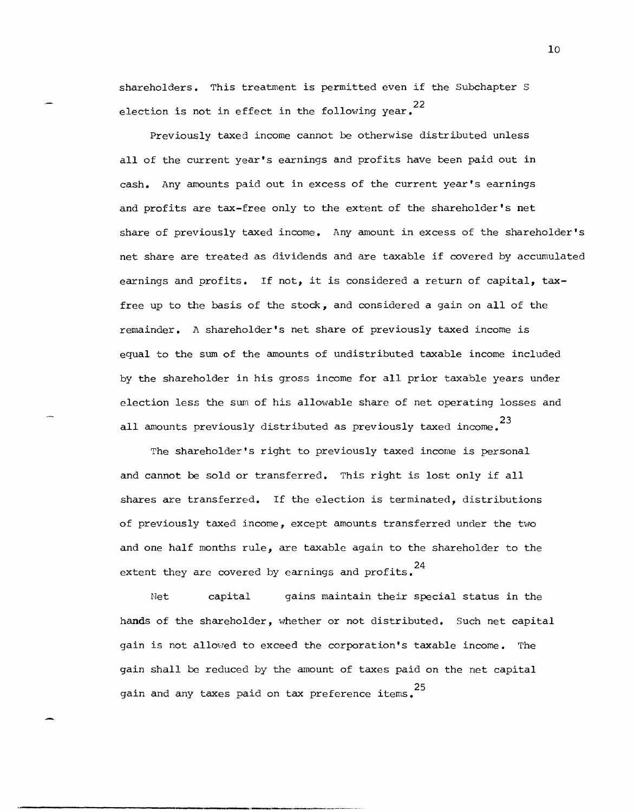shareholders. This treatment is permitted even if the Subchapter S election is not in effect in the following year. $^{22}$ 

Previously taxed income cannot be otherwise distributed unless all of the current year's earnings and profits have been paid out in cash. Any amounts paid out in excess of the current year's earnings and profits are tax-free only to the extent of the shareholder's net share of previously taxed income. Any amount in excess of the shareholder's net share are treated as dividends and are taxable if covered by accumulated earnings and profits. If not, it is considered a return of capital, taxfree up to the basis of the stock, and considered a gain on all of the renminder. A shareholder's net share of previously taxed income is equal to the sum of the amounts of undistributed taxable income included by the shareholder in his gross income for all prior taxable years under election less the sum of his allowable share of net operating losses and all amounts previously distributed as previously taxed income. <sup>23</sup>

The shareholder's right to previously taxed income is personal and cannot be sold or transferred. This right is lost only if all shares are transferred. If the election is terminated, distributions of previously taxed income, except amounts transferred under the two and one half months rule, are taxable again to the shareholder to the extent they are covered by earnings and profits.  $^{24}$ 

Net capital gains maintain their special status in the hands of the shareholder, whether or not distributed. Such net capital gain is not allowed to exceed the corporation's taxable income. The gain shall be reduced by the amount of taxes paid on the net capital gain and any taxes paid on tax preference items.<sup>25</sup>

.<br>. Mahapidi kamang mumbukan kamaling di ing ang kaleng kaleng pang pang itang mahapi ng dikagayan ng mang mang pang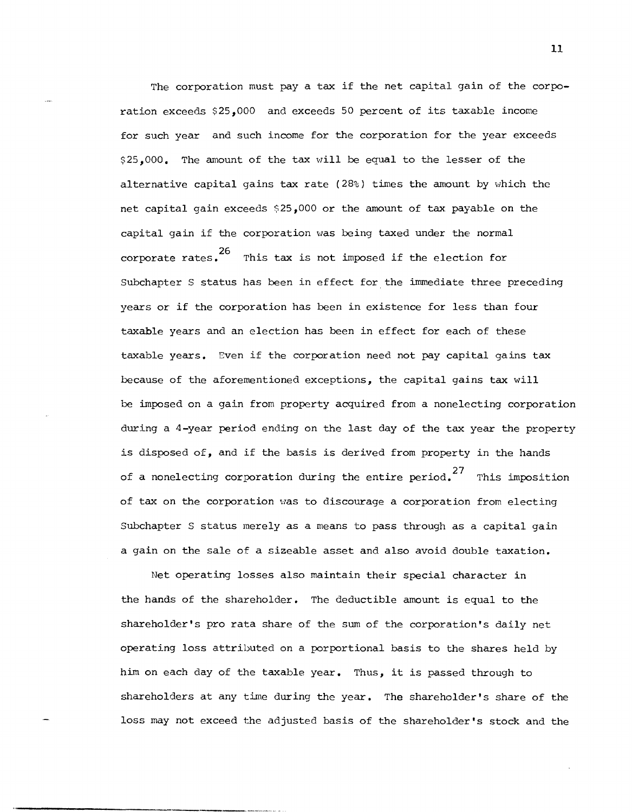The corporation must pay a tax if the net capital gain of the corporation exceeds \$25,000 and exceeds 50 percent of its taxable income for such year and such income for the corporation for the year exceeds \$25,000. The amount of the tax will be equal to the lesser of the alternative capital gains tax rate (28%) times the amount by which the net capital gain exceeds  $$25,000$  or the amount of tax payable on the capital gain if the corporation was being taxed under the normal 26 corporate rates. This tax is not imposed if the election for Subchapter S status has been in effect for the immediate three preceding years or if the corporation has been in existence for less than four taxable years and an election has been in effect for each of these taxable years. Even if the corporation need not pay capital gains tax because of the aforementioned exceptions, the capital gains tax will be imposed on a gain from property acquired from a nonelecting corporation during a 4-year period ending on the last day of the tax year the property is disposed of, and if the basis is derived from property in the hands of a nonelecting corporation during the entire period.<sup>27</sup> This imposition of tax on the corporation was to discourage a corporation from electing Subchapter S status merely as a means to pass through as a capital gain a gain on the sale of a sizeable asset and also avoid double taxation.

Net operating losses also maintain their special character in the hands of the shareholder. The deductible amount is equal to the shareholder's pro rata share of the sum of the corporation's daily net operating loss attributed on a porportional basis to the shares held by him on each day of the taxable year. Thus, it is passed through to shareholders at any time during the year. The shareholder's share of the loss may not exceed the adjusted basis of the shareholder's stock and the

----------------\_.-\_ ... \_ ....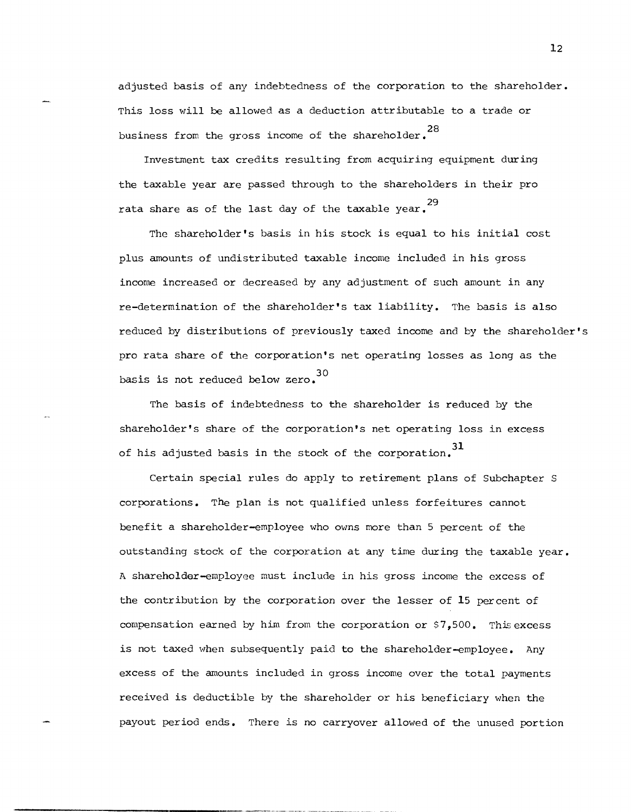adjusted basis of any indebtedness of the corporation to the shareholder. This loss will be allowed as a deduction attributable to a trade or business from the gross income of the shareholder. <sup>28</sup>

Investment tax credits resulting from acquiring equipment during the taxable year are passed through to the shareholders in their pro 29 rata share as of the last day of the taxable year.

The shareholder's basis in his stock is equal to his initial cost plus amounts of undistributed taxable income included in his gross income increased or decreased by any adjustment of such amount in any re-determination of the shareholder's tax liability. The basis is also reduced by distributions of previously taxed income and by the shareholder's pro rata share of the corporation's net operating losses as long as the basis is not reduced below zero.

The basis of indebtedness to the shareholder is reduced by the shareholder's share of the corporation's net operating loss in excess of his adjusted basis in the stock of the corporation. <sup>31</sup>

Certain special rules do apply to retirement plans of Subchapter S corporations. The plan is not qualified unless forfeitures cannot benefit a shareholder-employee who ovms more than 5 percent of the outstanding stock of the corporation at any time during the taxable year. A shareholder-employee must include in his gross income the excess of the contribution by the corporation over the lesser of **15** percent of compensation earned by him from the corporation or  $$7,500$ . This excess is not taxed when subsequently paid to the shareholder-employee. Any excess of the amounts included in gross income over the total payments received is deductible by the shareholder or his beneficiary when the payout period ends. There is no carryover allowed of the unused portion

**------------\_.\_-----**----,--- ---, ,.\_,,-\_.- ,,--\_.\_----\_.'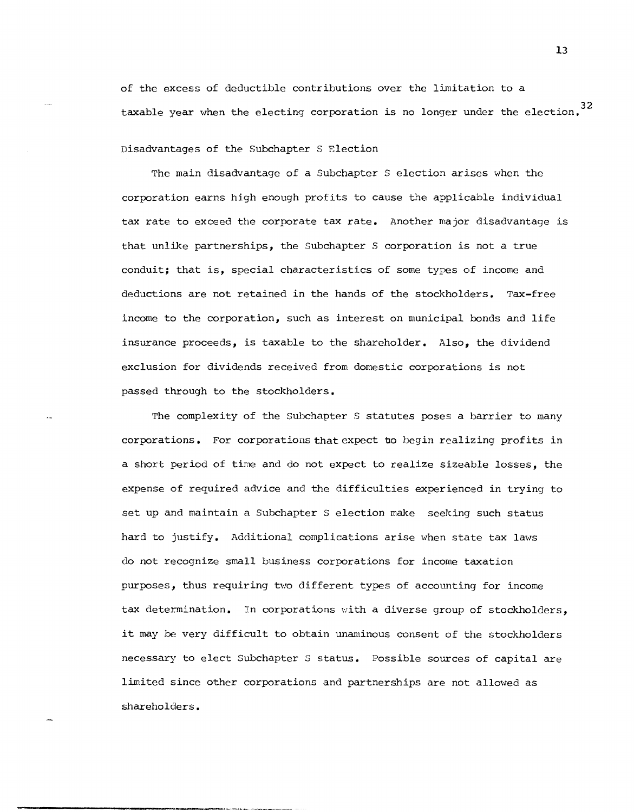of the excess of deductible contributions over the limitation to a taxable year when the electing corporation is no longer under the election.  $32$ 

Disadvantages of the Subchapter S Election

The main disadvantage of a Subchapter S election arises when the corporation earns high enough profits to cause the applicable individual tax rate to exceed the corporate tax rate. Another major disadvantage is that unlike partnerships, the Subchapter S corporation is not a true conduit; that is, special characteristics of some types of income and deductions are not retained in the hands of the stockholders. Tax-free income to the corporation, such as interest on municipal bonds and life insurance proceeds, is taxable to the shareholder. Also, the dividend exclusion for dividends received from domestic corporations is not passed through to the stockholders.

The complexity of the Subchapter S statutes poses a barrier to many corporations. For corporations that expect 'bo begin realizing profits in a short period of time and do not expect to realize sizeable losses, the expense of required advice and the difficulties experienced in trying to set up and maintain a Subchapter S election make seeking such status hard to justify. Additional complications arise when state tax laws do not recognize small business corporations for income taxation purposes, thus requiring two different types of accountinq for income tax determination. In corporations with a diverse group of stockholders, it may be very difficult to obtain unaminous consent of the stockholders necessary to elect Subchapter S status. Possible sources of capital are limited since other corporations and partnerships are not allowed as shareholders.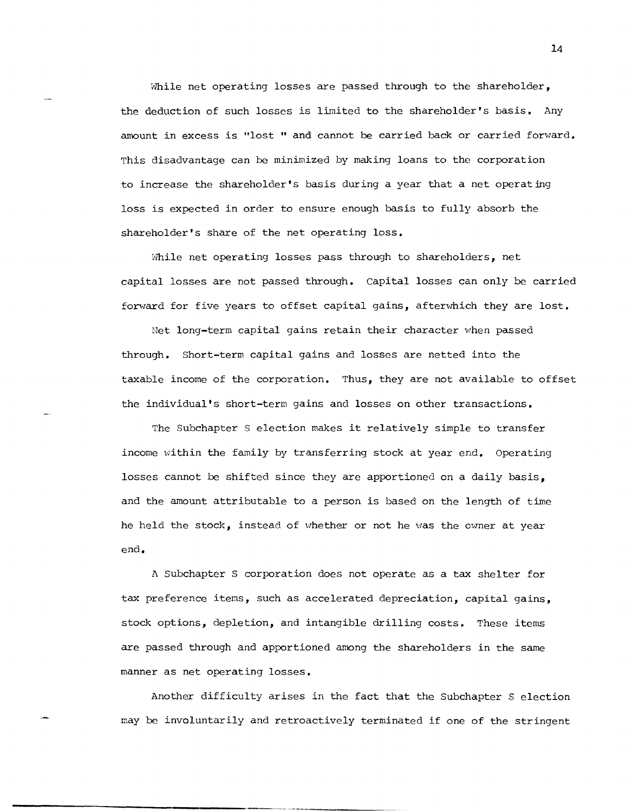While net operating losses are passed through to the shareholder, the deduction of such losses is limited to the shareholder's basis. Any amount in excess is "lost " and cannot be carried back. or carried forward. This disadvantage can be minimized by making loans to the corporation to increase the shareholder's basis during a year that a net operating loss is expected in order to ensure enough basis to fully absorb the shareholder's share of the net operating loss.

While net operating losses pass through to shareholders, net capital losses are not passed through. capital losses can only be carried forward for five years to offset capital gains, afterwhich they are lost.

Net long-term capital gains retain their character when passed through. Short-term capital gains and losses are netted into the taxable income of the corporation. Thus, they are not available to offset the individual's short-term gains and losses on other transactions.

The Subchapter S election makes it relatively simple to transfer income within the family by transferring stock at year end. Operating losses cannot be shifted since they are apportioned on a daily basis, and the amount attributable to a person is based on the length of time he held the stock, instead of whether or not he was the owner at year end.

A Subchapter S corporation does not operate as a tax shelter for tax preference items, such as accelerated depreciation, capital gains, stock options, depletion, and intangible drilling costs. These items are passed through and apportioned among the shareholders in the same manner as net operating losses.

Another difficulty arises in the fact that the Subchapter S election may be involuntarily and retroactively terminated if one of the stringent

,----,---\_ .....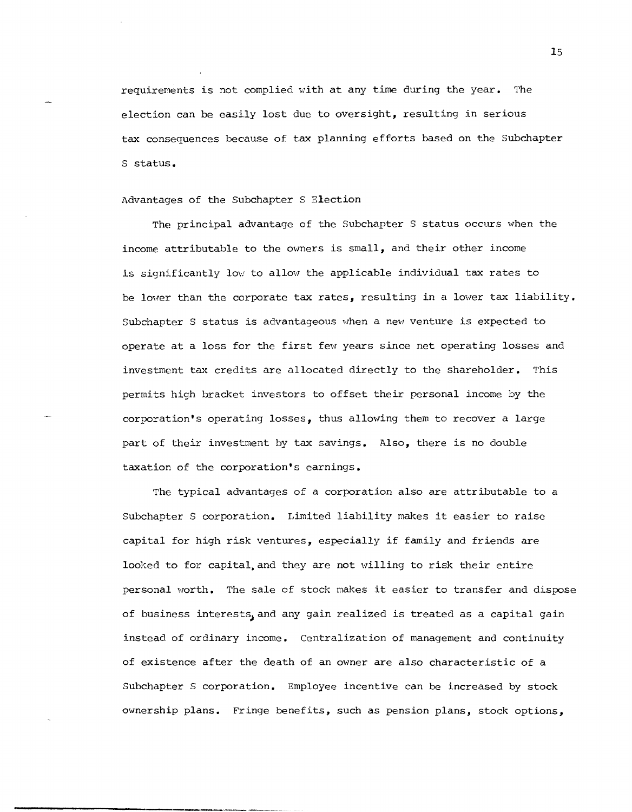requirements is not complied with at any time during the year. The election can be easily lost due to oversight, resulting in serious tax consequences because of tax planning efforts based on the Subchapter S status.

Advantages of the Subchapter S Election

The principal advantage of the Subchapter S status occurs when the income attributable to the owners is small, and their other income is significantly low to allow the applicable individual tax rates to be lower than the corporate tax rates, resulting in a lower tax liability. Subchapter S status is advantageous when a new venture is expected to operate at a loss for the first few years since net operating losses and investment tax credits are allocated directly to the shareholder. This permits high bracket investors to offset their personal income by the corporation's operating losses, thus allowing them to recover a large part of their investment by tax savings. Also, there is no double taxation of the corporation's earnings.

The typical advantages of a corporation also are attributable to a Subchapter S corporation. Limited liability makes it easier to raise capital for high risk ventures, especially if family and friends are looked to for capital,and they are not willing to risk their entire personal worth. The sale of stock makes it easier to transfer and dispose of business interests, and any gain realized is treated as a capital gain instead of ordinary income. Centralization of management and continuity of existence after the death of an owner are also characteristic of a Subchapter S corporation. Employee incentive can be increased by stock ownership plans. Fringe benefits, such as pension plans, stock options,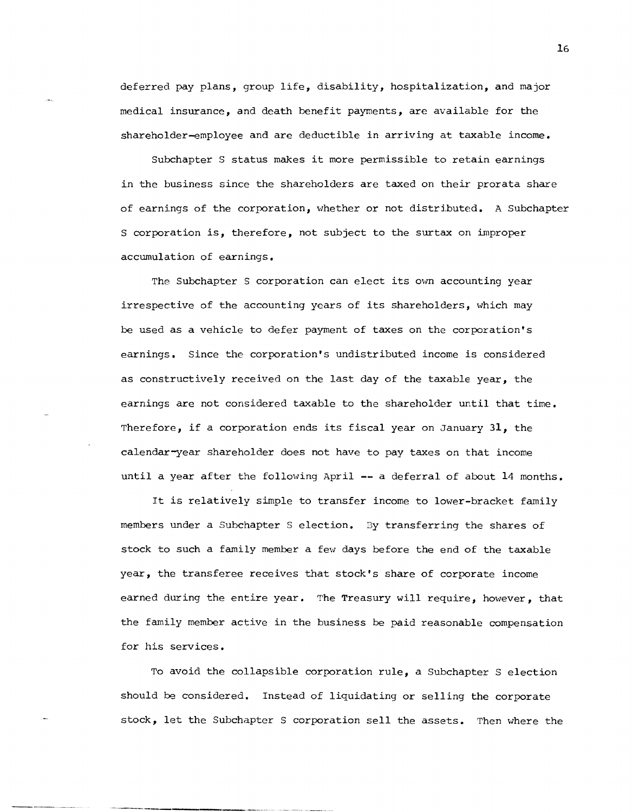deferred pay plans, group life, disability, hospitalization, and major medical insurance, and death benefit payments, are available for the  $shareholder-employee$  and are deductible in arriving at taxable income.

Subchapter S status makes it more permissible to retain earnings in the business since the shareholders are taxed on their prorata share of earnings of the corporation, vlhether or not distributed. A Subchapter S corporation is, therefore, not subject to the surtax on improper accumulation of earnings.

The Subchapter S corporation can elect its own accounting year irrespective of the accounting years of its shareholders, *which* may be used as a vehicle to defer payment of taxes on the corporation's earnings. Since the corporation's undistributed income is considered as constructively received on the last day of the taxable year, the earnings are not considered taxable to the shareholder until that time. Therefore, if a corporation ends its fiscal year on January 31, the calendar-year shareholder does not have to pay taxes on that income until a year after the following April -- a deferral of about 14 months.

It is relatively simple to transfer income to lower-bracket family members under a Subchapter S election. By transferring the shares of stock to such a family member a few days before the end of the taxable year, the transferee receives that stock's share of corporate income earned during the entire year. The Treasury will require, however, that the family member active in the business be paid reasonable compensation for his services.

To avoid the collapsible corporation rule, a Subchapter S election should be considered. Instead of liquidating or selling the corporate stock, let the Subchapter S corporation sell the assets. Then where the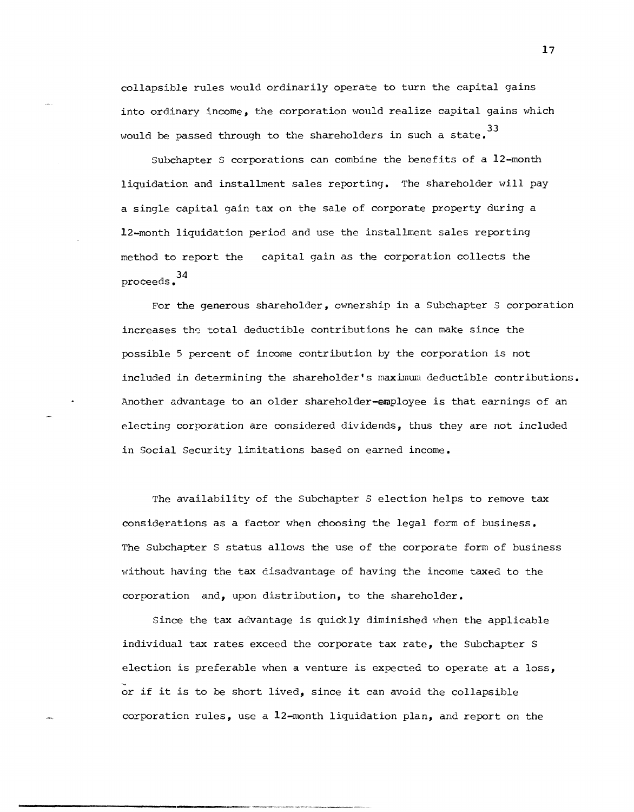collapsible rules would ordinarily operate to turn the capital gains into ordinary income, the corporation would realize capital gains which 33 would be passed through to the shareholders in such a state.

subchapter S corporations can combine the benefits of a 12-month liquidation and installment sales reporting. The shareholder will pay a single capital gain tax on the sale of corporate property during a 12-month liquidation period and use the installment sales reporting method to report the 34 proceeds. capital gain as the corporation collects the

For the generous shareholder, ownership in a Subchapter S corporation increases the total deductible contributions he can make since the possible 5 percent of income contribution by the corporation is not included in determining the shareholder's maximum deductible contributions. Another advantage to an older shareholder-employee is that earnings of an electing corporation are considered dividends, thus they are not included in Social Security limitations based on earned income.

The availability of the Subchapter S election helps to remove tax considerations as a factor when choosing the legal form of business. The Subchapter S status allows the use of the corporate form of business without having the tax disadvantage of having the income taxed to the corporation and, upon distribution, to the shareholder.

Since the tax advantage is quickly diminished when the applicable individual tax rates exceed the corporate tax rate, the Subchapter S election is preferable when a venture is expected to operate at a loss, - or if it is to be short lived, since it can avoid the collapsible corporation rules, use a 12-month liquidation plan, and report on the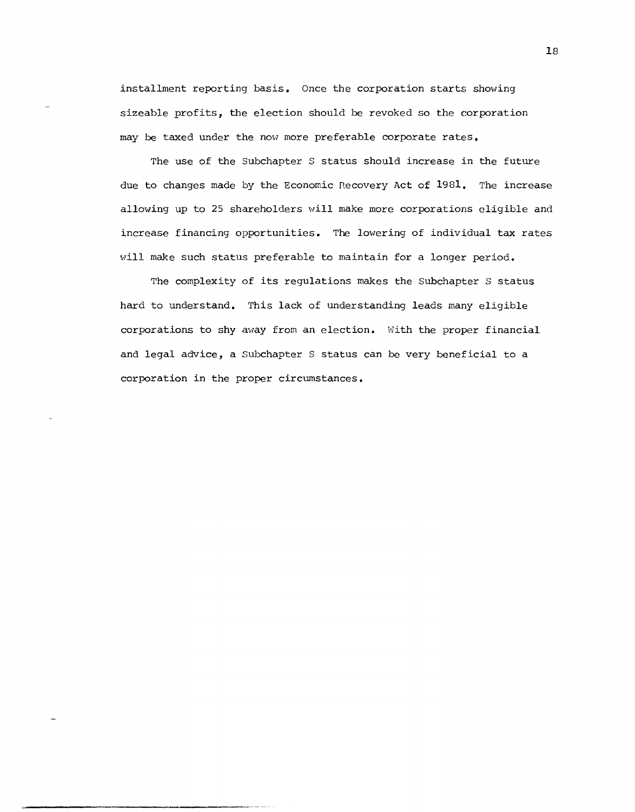installment reporting basis. Once the corporation starts showing sizeable profits, the election should be revoked so the corporation may be taxed under the now more preferable corporate rates.

The use of the Subchapter S status should increase in the future due to changes made by the Economic necovery Act of 1981. The increase allowing up to 25 shareholders will make more corporations eligible and increase financing opportunities. The lowering of individual tax rates will make such status preferable to maintain for a longer period.

The complexity of its regulations makes the Subchapter S status hard to understand. This lack of understanding leads many eligible corporations to shy away from an election. With the proper financial and legal advice, a Subchapter S status can be very beneficial to a corporation in the proper circumstances.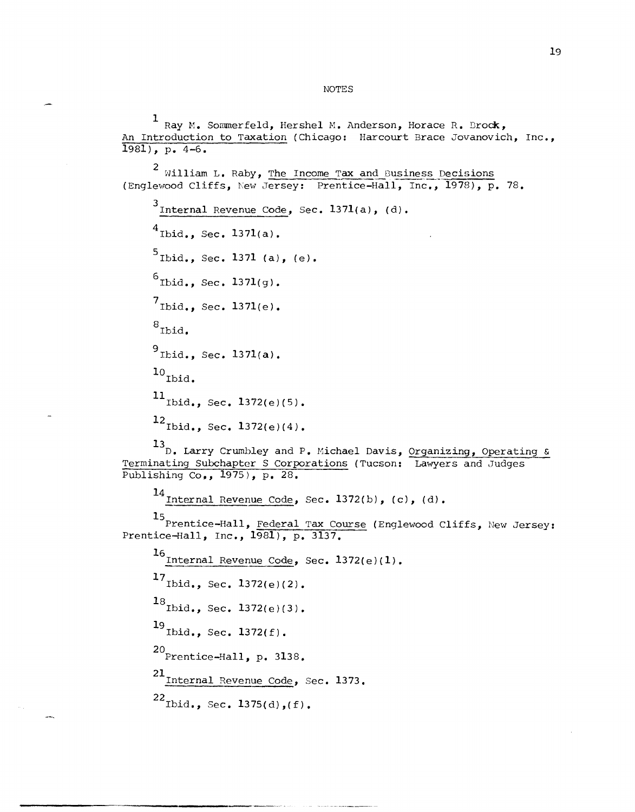NOTES

<sup>1</sup>Ray H. Sommerfeld, Hershel H. Anderson, Horace R. Drock, An Introduction to Taxation (Chicago: Harcourt Brace Jovanovich, Inc., 1981), p. 4-6.  $2$  William L. Raby, The Income Tax and Business Decisions (Englewood Cliffs, New Jersey: Prentice-Hall, Inc., 1978), p. 78.  $3$ Internal Revenue Code, Sec. 1371(a), (d).  $^{4}$ Ibid., Sec. 1371(a).  $^{5}$ Ibid., Sec. 1371 (a), (e).  $^{6}$ Ibid., Sec. 1371(g).  $7_{\text{Ibid.}}$ , Sec. 1371(e). 8<sub>Ibid.</sub>  $^{9}$ Ibid., Sec. 1371(a).  $^{10}$  Ibid.  $11$ <sub>Ibid.</sub>, Sec. 1372(e)(5).  $12$  Ibid., Sec. 1372(e)(4). 13<br>D. Larry Crumbley and P. Michael Davis, Organizing, Operating & Terminating Subchapter S Corporations (Tucson: Lawyers and Judges Publishing Co,, 1975), p. 28. 14 Internal Revenue Code, Sec. 1372(b), (c), (d). 15 Prentice-Hall, Federal Tax Course (Englewood Cliffs, New Jersey: Prentice-Hall, Inc.,  $1\overline{981}$ , p. 3137. 16 Internal Revenue Code, Sec.  $1372(e)(1)$ .  $17$ <sub>Ibid.</sub>, Sec.  $1372(e)(2)$ .  $^{18}$ Ibid., Sec. 1372(e)(3). 19 Ibid., Sec. 1372(f). 20 Prentice-Hall, p. 3138. 21 Internal Revenue Code, Sec. 1373.  $^{22}$ Ibid., Sec. 1375(d),(f).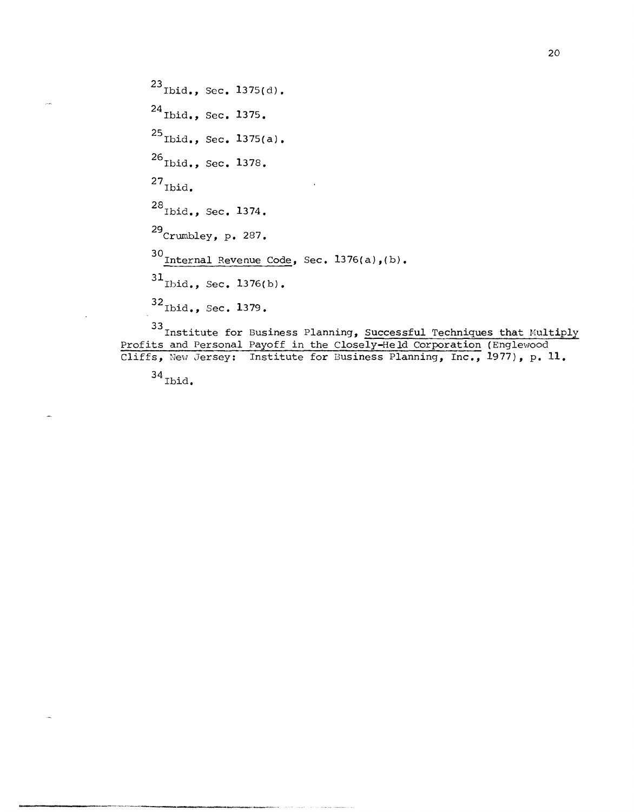$^{23}$  Ibid., Sec. 1375(d). <sup>24</sup> Ibid., Sec. 1375. 25<sub>Ibid.</sub>, Sec. 1375(a). <sup>26</sup>Ibid., Sec. 1378.  $^{27}$ Ibid. <sup>28</sup> Ibid., Sec. 1374. 29 Crumbley, p. 287.  $30$  Internal Revenue Code, Sec. 1376(a),(b).  $^{31}$ Ibid., Sec. 1376(b).  $^{32}$ Ibid., Sec. 1379.

<sup>33</sup>Institute for Business Planning, Successful Techniques that Multiply Profits and Personal Payoff in the Closely-Held Corporation (Englewood Cliffs, New Jersey: Institute for Business Planning, Inc., 1977), p. 11.

 $34$  Ibid.